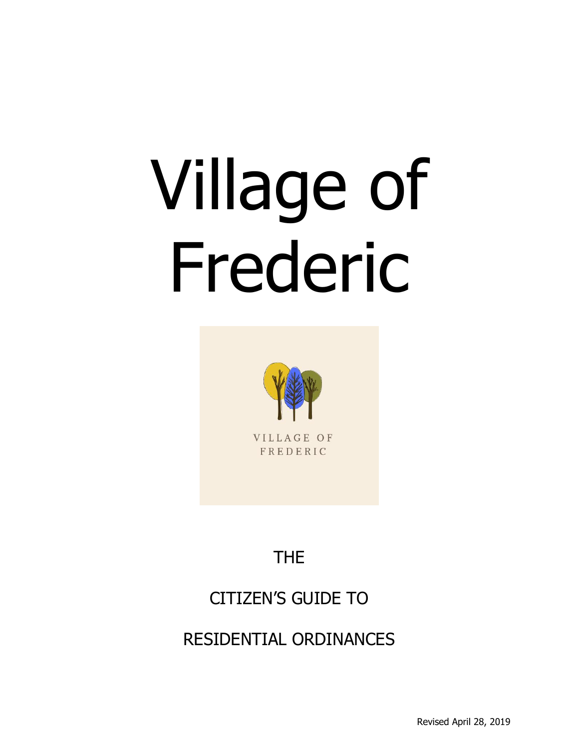# Village of Frederic



VILLAGE OF FREDERIC

# THE

# CITIZEN'S GUIDE TO

RESIDENTIAL ORDINANCES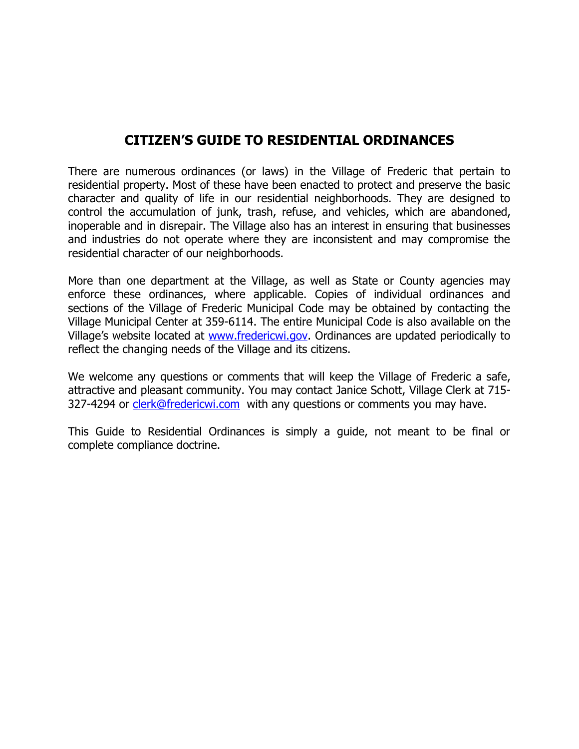#### **CITIZEN'S GUIDE TO RESIDENTIAL ORDINANCES**

There are numerous ordinances (or laws) in the Village of Frederic that pertain to residential property. Most of these have been enacted to protect and preserve the basic character and quality of life in our residential neighborhoods. They are designed to control the accumulation of junk, trash, refuse, and vehicles, which are abandoned, inoperable and in disrepair. The Village also has an interest in ensuring that businesses and industries do not operate where they are inconsistent and may compromise the residential character of our neighborhoods.

More than one department at the Village, as well as State or County agencies may enforce these ordinances, where applicable. Copies of individual ordinances and sections of the Village of Frederic Municipal Code may be obtained by contacting the Village Municipal Center at 359-6114. The entire Municipal Code is also available on the Village's website located at [www.fredericwi.gov.](http://www.fredericwi.gov/) Ordinances are updated periodically to reflect the changing needs of the Village and its citizens.

We welcome any questions or comments that will keep the Village of Frederic a safe, attractive and pleasant community. You may contact Janice Schott, Village Clerk at 715 327-4294 or [clerk@fredericwi.com](mailto:clerk@fredericwi.com) with any questions or comments you may have.

This Guide to Residential Ordinances is simply a guide, not meant to be final or complete compliance doctrine.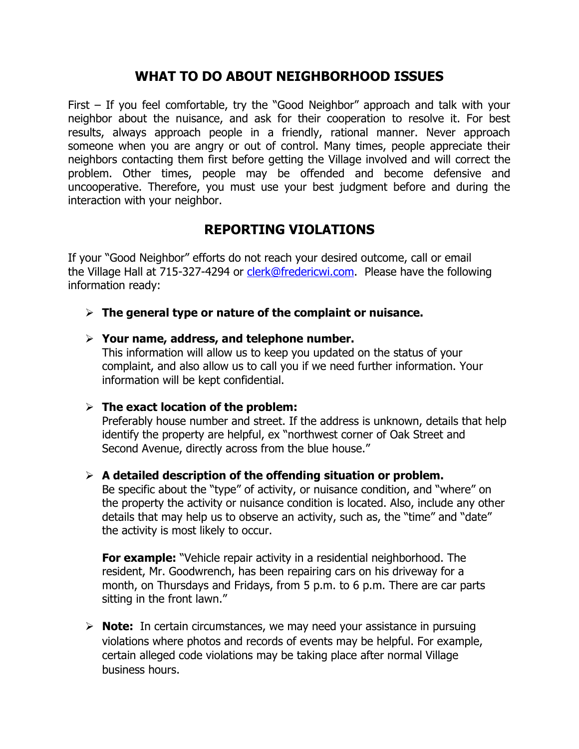## **WHAT TO DO ABOUT NEIGHBORHOOD ISSUES**

First – If you feel comfortable, try the "Good Neighbor" approach and talk with your neighbor about the nuisance, and ask for their cooperation to resolve it. For best results, always approach people in a friendly, rational manner. Never approach someone when you are angry or out of control. Many times, people appreciate their neighbors contacting them first before getting the Village involved and will correct the problem. Other times, people may be offended and become defensive and uncooperative. Therefore, you must use your best judgment before and during the interaction with your neighbor.

## **REPORTING VIOLATIONS**

If your "Good Neighbor" efforts do not reach your desired outcome, call or email the Village Hall at 715-327-4294 or [clerk@fredericwi.com.](mailto:clerk@fredericwi.com) Please have the following information ready:

#### ➢ **The general type or nature of the complaint or nuisance.**

#### ➢ **Your name, address, and telephone number.**

This information will allow us to keep you updated on the status of your complaint, and also allow us to call you if we need further information. Your information will be kept confidential.

#### ➢ **The exact location of the problem:**

Preferably house number and street. If the address is unknown, details that help identify the property are helpful, ex "northwest corner of Oak Street and Second Avenue, directly across from the blue house."

#### ➢ **A detailed description of the offending situation or problem.**

Be specific about the "type" of activity, or nuisance condition, and "where" on the property the activity or nuisance condition is located. Also, include any other details that may help us to observe an activity, such as, the "time" and "date" the activity is most likely to occur.

**For example:** "Vehicle repair activity in a residential neighborhood. The resident, Mr. Goodwrench, has been repairing cars on his driveway for a month, on Thursdays and Fridays, from 5 p.m. to 6 p.m. There are car parts sitting in the front lawn."

➢ **Note:** In certain circumstances, we may need your assistance in pursuing violations where photos and records of events may be helpful. For example, certain alleged code violations may be taking place after normal Village business hours.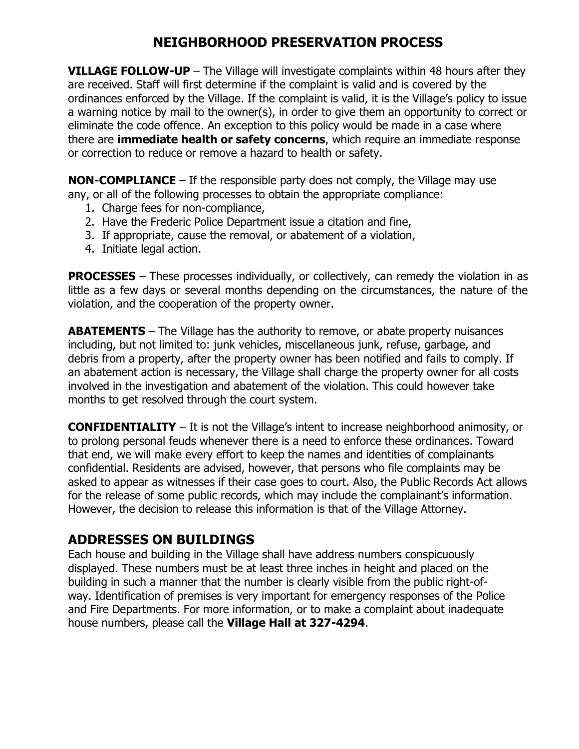# **NEIGHBORHOOD PRESERVATION PROCESS**

**VILLAGE FOLLOW-UP** – The Village will investigate complaints within 48 hours after they are received. Staff will first determine if the complaint is valid and is covered by the ordinances enforced by the Village. If the complaint is valid, it is the Village's policy to issue a warning notice by mail to the owner(s), in order to give them an opportunity to correct or eliminate the code offence. An exception to this policy would be made in a case where there are **immediate health or safety concerns**, which require an immediate response or correction to reduce or remove a hazard to health or safety.

**NON-COMPLIANCE** – If the responsible party does not comply, the Village may use any, or all of the following processes to obtain the appropriate compliance:

- 1. Charge fees for non-compliance,
- 2. Have the Frederic Police Department issue a citation and fine,
- 3. If appropriate, cause the removal, or abatement of a violation,
- 4. Initiate legal action.

**PROCESSES** – These processes individually, or collectively, can remedy the violation in as little as a few days or several months depending on the circumstances, the nature of the violation, and the cooperation of the property owner.

**ABATEMENTS** – The Village has the authority to remove, or abate property nuisances including, but not limited to: junk vehicles, miscellaneous junk, refuse, garbage, and debris from a property, after the property owner has been notified and fails to comply. If an abatement action is necessary, the Village shall charge the property owner for all costs involved in the investigation and abatement of the violation. This could however take months to get resolved through the court system.

**CONFIDENTIALITY** – It is not the Village's intent to increase neighborhood animosity, or to prolong personal feuds whenever there is a need to enforce these ordinances. Toward that end, we will make every effort to keep the names and identities of complainants confidential. Residents are advised, however, that persons who file complaints may be asked to appear as witnesses if their case goes to court. Also, the Public Records Act allows for the release of some public records, which may include the complainant's information. However, the decision to release this information is that of the Village Attorney.

# **ADDRESSES ON BUILDINGS**

Each house and building in the Village shall have address numbers conspicuously displayed. These numbers must be at least three inches in height and placed on the building in such a manner that the number is clearly visible from the public right-ofway. Identification of premises is very important for emergency responses of the Police and Fire Departments. For more information, or to make a complaint about inadequate house numbers, please call the **Village Hall at 327-4294**.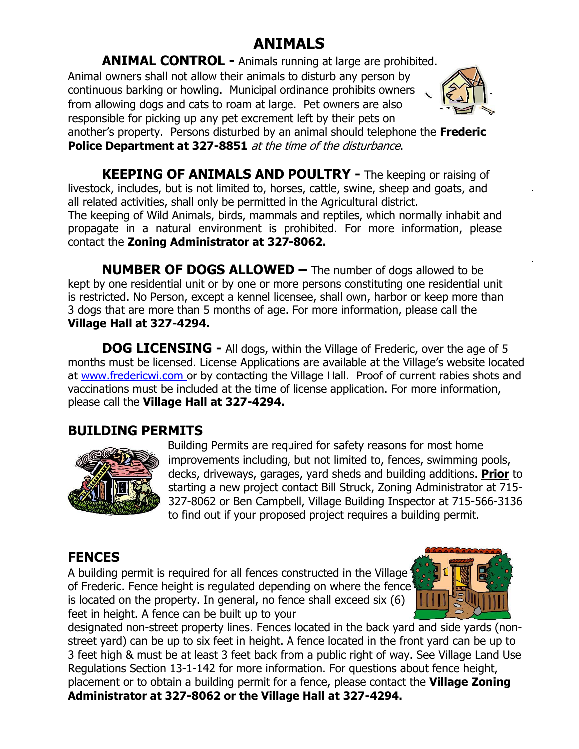# **ANIMALS**

**ANIMAL CONTROL -** Animals running at large are prohibited. Animal owners shall not allow their animals to disturb any person by continuous barking or howling. Municipal ordinance prohibits owners from allowing dogs and cats to roam at large. Pet owners are also responsible for picking up any pet excrement left by their pets on



another's property. Persons disturbed by an animal should telephone the **Frederic Police Department at 327-8851** at the time of the disturbance.

**KEEPING OF ANIMALS AND POULTRY -** The keeping or raising of livestock, includes, but is not limited to, horses, cattle, swine, sheep and goats, and all related activities, shall only be permitted in the Agricultural district. The keeping of Wild Animals, birds, mammals and reptiles, which normally inhabit and propagate in a natural environment is prohibited. For more information, please

contact the **Zoning Administrator at 327-8062.**

**NUMBER OF DOGS ALLOWED –** The number of dogs allowed to be kept by one residential unit or by one or more persons constituting one residential unit is restricted. No Person, except a kennel licensee, shall own, harbor or keep more than 3 dogs that are more than 5 months of age. For more information, please call the **Village Hall at 327-4294.**

**DOG LICENSING -** All dogs, within the Village of Frederic, over the age of 5 months must be licensed. License Applications are available at the Village's website located at [www.fredericwi.com o](http://www.fredericwi.com/)r by contacting the Village Hall. Proof of current rabies shots and vaccinations must be included at the time of license application. For more information, please call the **Village Hall at 327-4294.**

# **BUILDING PERMITS**



 Building Permits are required for safety reasons for most home improvements including, but not limited to, fences, swimming pools, decks, driveways, garages, yard sheds and building additions. **Prior** to starting a new project contact Bill Struck, Zoning Administrator at 715- 327-8062 or Ben Campbell, Village Building Inspector at 715-566-3136 to find out if your proposed project requires a building permit.

# **FENCES**

A building permit is required for all fences constructed in the Village 1 of Frederic. Fence height is regulated depending on where the fence is located on the property. In general, no fence shall exceed six (6) feet in height. A fence can be built up to your



designated non-street property lines. Fences located in the back yard and side yards (nonstreet yard) can be up to six feet in height. A fence located in the front yard can be up to 3 feet high & must be at least 3 feet back from a public right of way. See Village Land Use Regulations Section 13-1-142 for more information. For questions about fence height, placement or to obtain a building permit for a fence, please contact the **Village Zoning Administrator at 327-8062 or the Village Hall at 327-4294.**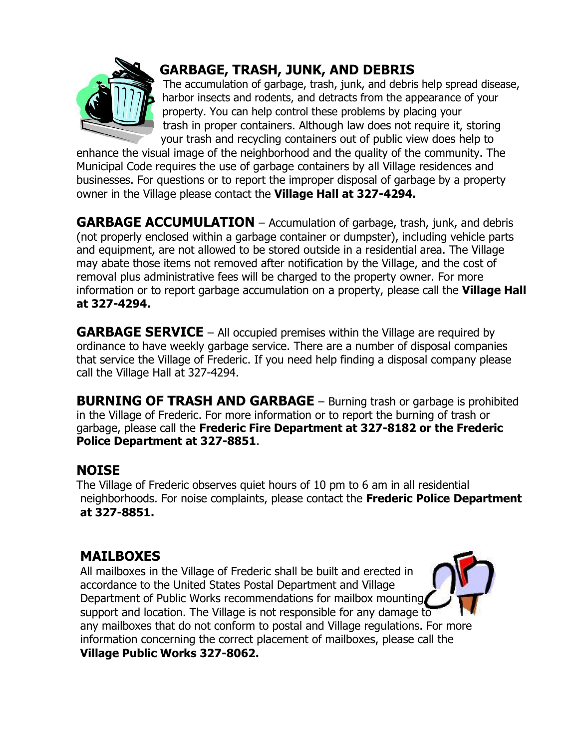

# **GARBAGE, TRASH, JUNK, AND DEBRIS**

The accumulation of garbage, trash, junk, and debris help spread disease, harbor insects and rodents, and detracts from the appearance of your property. You can help control these problems by placing your trash in proper containers. Although law does not require it, storing your trash and recycling containers out of public view does help to

enhance the visual image of the neighborhood and the quality of the community. The Municipal Code requires the use of garbage containers by all Village residences and businesses. For questions or to report the improper disposal of garbage by a property owner in the Village please contact the **Village Hall at 327-4294.**

**GARBAGE ACCUMULATION** – Accumulation of garbage, trash, junk, and debris (not properly enclosed within a garbage container or dumpster), including vehicle parts and equipment, are not allowed to be stored outside in a residential area. The Village may abate those items not removed after notification by the Village, and the cost of removal plus administrative fees will be charged to the property owner. For more information or to report garbage accumulation on a property, please call the **Village Hall at 327-4294.**

**GARBAGE SERVICE** – All occupied premises within the Village are required by ordinance to have weekly garbage service. There are a number of disposal companies that service the Village of Frederic. If you need help finding a disposal company please call the Village Hall at 327-4294.

**BURNING OF TRASH AND GARBAGE** – Burning trash or garbage is prohibited in the Village of Frederic. For more information or to report the burning of trash or garbage, please call the **Frederic Fire Department at 327-8182 or the Frederic Police Department at 327-8851**.

## **NOISE**

The Village of Frederic observes quiet hours of 10 pm to 6 am in all residential neighborhoods. For noise complaints, please contact the **Frederic Police Department at 327-8851.**

# **MAILBOXES**

All mailboxes in the Village of Frederic shall be built and erected in accordance to the United States Postal Department and Village Department of Public Works recommendations for mailbox mounting, support and location. The Village is not responsible for any damage to any mailboxes that do not conform to postal and Village regulations. For more information concerning the correct placement of mailboxes, please call the **Village Public Works 327-8062.**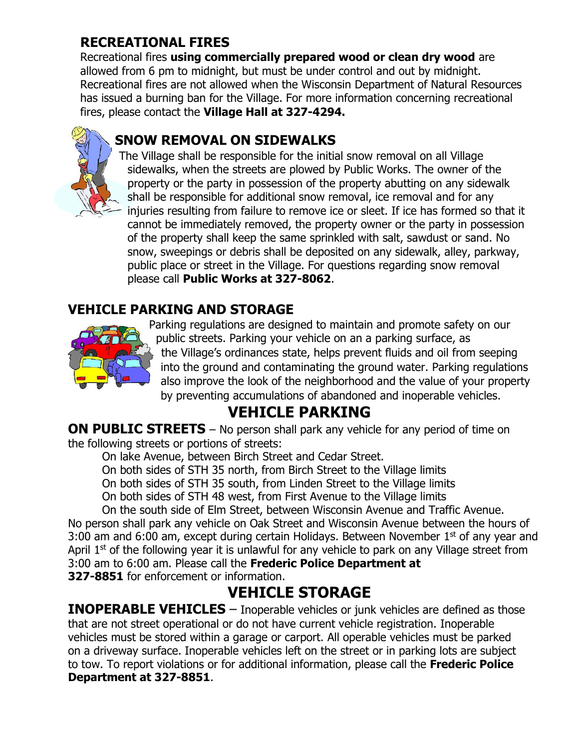# **RECREATIONAL FIRES**

Recreational fires **using commercially prepared wood or clean dry wood** are allowed from 6 pm to midnight, but must be under control and out by midnight. Recreational fires are not allowed when the Wisconsin Department of Natural Resources has issued a burning ban for the Village. For more information concerning recreational fires, please contact the **Village Hall at 327-4294.** 

# **SNOW REMOVAL ON SIDEWALKS**

The Village shall be responsible for the initial snow removal on all Village sidewalks, when the streets are plowed by Public Works. The owner of the property or the party in possession of the property abutting on any sidewalk shall be responsible for additional snow removal, ice removal and for any injuries resulting from failure to remove ice or sleet. If ice has formed so that it cannot be immediately removed, the property owner or the party in possession of the property shall keep the same sprinkled with salt, sawdust or sand. No snow, sweepings or debris shall be deposited on any sidewalk, alley, parkway, public place or street in the Village. For questions regarding snow removal please call **Public Works at 327-8062**.

# **VEHICLE PARKING AND STORAGE**



Parking regulations are designed to maintain and promote safety on our public streets. Parking your vehicle on an a parking surface, as the Village's ordinances state, helps prevent fluids and oil from seeping into the ground and contaminating the ground water. Parking regulations also improve the look of the neighborhood and the value of your property by preventing accumulations of abandoned and inoperable vehicles.

# **VEHICLE PARKING**

**ON PUBLIC STREETS** – No person shall park any vehicle for any period of time on the following streets or portions of streets:

On lake Avenue, between Birch Street and Cedar Street.

On both sides of STH 35 north, from Birch Street to the Village limits

On both sides of STH 35 south, from Linden Street to the Village limits

On both sides of STH 48 west, from First Avenue to the Village limits

On the south side of Elm Street, between Wisconsin Avenue and Traffic Avenue. No person shall park any vehicle on Oak Street and Wisconsin Avenue between the hours of 3:00 am and 6:00 am, except during certain Holidays. Between November  $1<sup>st</sup>$  of any year and April  $1<sup>st</sup>$  of the following year it is unlawful for any vehicle to park on any Village street from 3:00 am to 6:00 am. Please call the **Frederic Police Department at 327-8851** for enforcement or information.

# **VEHICLE STORAGE**

**INOPERABLE VEHICLES** – Inoperable vehicles or junk vehicles are defined as those that are not street operational or do not have current vehicle registration. Inoperable vehicles must be stored within a garage or carport. All operable vehicles must be parked on a driveway surface. Inoperable vehicles left on the street or in parking lots are subject to tow. To report violations or for additional information, please call the **Frederic Police Department at 327-8851**.